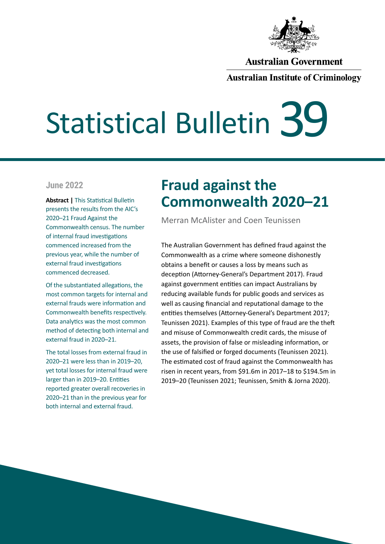

#### **Australian Government**

**Australian Institute of Criminology** 

# Statistical Bulletin 39

#### **June 2022**

**Abstract |** This Statistical Bulletin presents the results from the AIC's 2020–21 Fraud Against the Commonwealth census. The number of internal fraud investigations commenced increased from the previous year, while the number of external fraud investigations commenced decreased.

Of the substantiated allegations, the most common targets for internal and external frauds were information and Commonwealth benefits respectively. Data analytics was the most common method of detecting both internal and external fraud in 2020–21.

The total losses from external fraud in 2020–21 were less than in 2019–20, yet total losses for internal fraud were larger than in 2019–20. Entities reported greater overall recoveries in 2020–21 than in the previous year for both internal and external fraud.

## **Fraud against the Commonwealth 2020–21**

Merran McAlister and Coen Teunissen

The Australian Government has defined fraud against the Commonwealth as a crime where someone dishonestly obtains a benefit or causes a loss by means such as deception (Attorney-General's Department 2017). Fraud against government entities can impact Australians by reducing available funds for public goods and services as well as causing financial and reputational damage to the entities themselves (Attorney-General's Department 2017; Teunissen 2021). Examples of this type of fraud are the theft and misuse of Commonwealth credit cards, the misuse of assets, the provision of false or misleading information, or the use of falsified or forged documents (Teunissen 2021). The estimated cost of fraud against the Commonwealth has risen in recent years, from \$91.6m in 2017–18 to \$194.5m in 2019–20 (Teunissen 2021; Teunissen, Smith & Jorna 2020).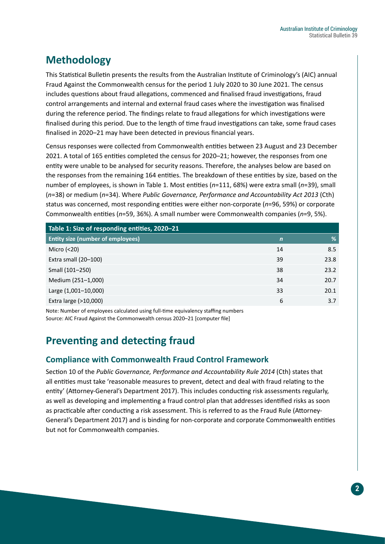## **Methodology**

This Statistical Bulletin presents the results from the Australian Institute of Criminology's (AIC) annual Fraud Against the Commonwealth census for the period 1 July 2020 to 30 June 2021. The census includes questions about fraud allegations, commenced and finalised fraud investigations, fraud control arrangements and internal and external fraud cases where the investigation was finalised during the reference period. The findings relate to fraud allegations for which investigations were finalised during this period. Due to the length of time fraud investigations can take, some fraud cases finalised in 2020–21 may have been detected in previous financial years.

Census responses were collected from Commonwealth entities between 23 August and 23 December 2021. A total of 165 entities completed the census for 2020–21; however, the responses from one entity were unable to be analysed for security reasons. Therefore, the analyses below are based on the responses from the remaining 164 entities. The breakdown of these entities by size, based on the number of employees, is shown in Table 1. Most entities (*n*=111, 68%) were extra small (*n*=39), small (*n*=38) or medium (*n*=34). Where *Public Governance, Performance and Accountability Act 2013* (Cth) status was concerned, most responding entities were either non-corporate (*n*=96, 59%) or corporate Commonwealth entities (*n*=59, 36%). A small number were Commonwealth companies (*n*=9, 5%).

| Table 1: Size of responding entities, 2020-21 |      |  |  |
|-----------------------------------------------|------|--|--|
| $\mathsf{n}$                                  | %    |  |  |
| 14                                            | 8.5  |  |  |
| 39                                            | 23.8 |  |  |
| 38                                            | 23.2 |  |  |
| 34                                            | 20.7 |  |  |
| 33                                            | 20.1 |  |  |
| 6                                             | 3.7  |  |  |
|                                               |      |  |  |

Note: Number of employees calculated using full-time equivalency staffing numbers Source: AIC Fraud Against the Commonwealth census 2020–21 [computer file]

## **Preventing and detecting fraud**

#### **Compliance with Commonwealth Fraud Control Framework**

Section 10 of the *Public Governance, Performance and Accountability Rule 2014* (Cth) states that all entities must take 'reasonable measures to prevent, detect and deal with fraud relating to the entity' (Attorney-General's Department 2017). This includes conducting risk assessments regularly, as well as developing and implementing a fraud control plan that addresses identified risks as soon as practicable after conducting a risk assessment. This is referred to as the Fraud Rule (Attorney-General's Department 2017) and is binding for non-corporate and corporate Commonwealth entities but not for Commonwealth companies.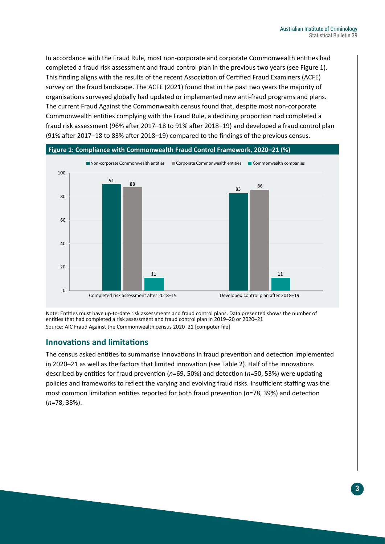In accordance with the Fraud Rule, most non-corporate and corporate Commonwealth entities had completed a fraud risk assessment and fraud control plan in the previous two years (see Figure 1). This finding aligns with the results of the recent Association of Certified Fraud Examiners (ACFE) survey on the fraud landscape. The ACFE (2021) found that in the past two years the majority of organisations surveyed globally had updated or implemented new anti-fraud programs and plans. The current Fraud Against the Commonwealth census found that, despite most non-corporate Commonwealth entities complying with the Fraud Rule, a declining proportion had completed a fraud risk assessment (96% after 2017–18 to 91% after 2018–19) and developed a fraud control plan (91% after 2017–18 to 83% after 2018–19) compared to the findings of the previous census.



Note: Entities must have up-to-date risk assessments and fraud control plans. Data presented shows the number of entities that had completed a risk assessment and fraud control plan in 2019–20 or 2020–21 Source: AIC Fraud Against the Commonwealth census 2020–21 [computer file]

#### **Innovations and limitations**

The census asked entities to summarise innovations in fraud prevention and detection implemented in 2020–21 as well as the factors that limited innovation (see Table 2). Half of the innovations described by entities for fraud prevention (*n*=69, 50%) and detection (*n*=50, 53%) were updating policies and frameworks to reflect the varying and evolving fraud risks. Insufficient staffing was the most common limitation entities reported for both fraud prevention (*n*=78, 39%) and detection (*n*=78, 38%).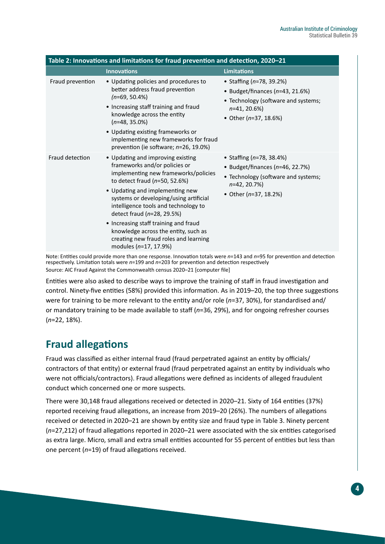| Table 2: Innovations and limitations for fraud prevention and detection, 2020-21 |                                                                                                                                                                                                                                                                                                                                                                                                                                                         |                                                                                                                                                         |  |  |
|----------------------------------------------------------------------------------|---------------------------------------------------------------------------------------------------------------------------------------------------------------------------------------------------------------------------------------------------------------------------------------------------------------------------------------------------------------------------------------------------------------------------------------------------------|---------------------------------------------------------------------------------------------------------------------------------------------------------|--|--|
|                                                                                  | <b>Innovations</b>                                                                                                                                                                                                                                                                                                                                                                                                                                      | <b>Limitations</b>                                                                                                                                      |  |  |
| Fraud prevention                                                                 | • Updating policies and procedures to<br>better address fraud prevention<br>$(n=69, 50.4\%)$<br>• Increasing staff training and fraud<br>knowledge across the entity<br>$(n=48, 35.0\%)$<br>• Updating existing frameworks or<br>implementing new frameworks for fraud<br>prevention (ie software; n=26, 19.0%)                                                                                                                                         | • Staffing (n=78, 39.2%)<br>• Budget/finances ( $n=43$ , 21.6%)<br>• Technology (software and systems;<br>$n=41, 20.6\%)$<br>• Other ( $n=37, 18.6\%$ ) |  |  |
| Fraud detection                                                                  | • Updating and improving existing<br>frameworks and/or policies or<br>implementing new frameworks/policies<br>to detect fraud ( $n=50$ , 52.6%)<br>• Updating and implementing new<br>systems or developing/using artificial<br>intelligence tools and technology to<br>detect fraud $(n=28, 29.5%)$<br>• Increasing staff training and fraud<br>knowledge across the entity, such as<br>creating new fraud roles and learning<br>modules (n=17, 17.9%) | • Staffing (n=78, 38.4%)<br>• Budget/finances ( $n=46$ , 22.7%)<br>• Technology (software and systems;<br>$n=42, 20.7%$<br>• Other (n=37, 18.2%)        |  |  |

Note: Entities could provide more than one response. Innovation totals were *n*=143 and *n*=95 for prevention and detection respectively. Limitation totals were *n*=199 and *n*=203 for prevention and detection respectively Source: AIC Fraud Against the Commonwealth census 2020–21 [computer file]

Entities were also asked to describe ways to improve the training of staff in fraud investigation and control. Ninety-five entities (58%) provided this information. As in 2019–20, the top three suggestions were for training to be more relevant to the entity and/or role (*n*=37, 30%), for standardised and/ or mandatory training to be made available to staff (*n*=36, 29%), and for ongoing refresher courses (*n*=22, 18%).

## **Fraud allegations**

Fraud was classified as either internal fraud (fraud perpetrated against an entity by officials/ contractors of that entity) or external fraud (fraud perpetrated against an entity by individuals who were not officials/contractors). Fraud allegations were defined as incidents of alleged fraudulent conduct which concerned one or more suspects.

There were 30,148 fraud allegations received or detected in 2020–21. Sixty of 164 entities (37%) reported receiving fraud allegations, an increase from 2019–20 (26%). The numbers of allegations received or detected in 2020–21 are shown by entity size and fraud type in Table 3. Ninety percent (*n*=27,212) of fraud allegations reported in 2020–21 were associated with the six entities categorised as extra large. Micro, small and extra small entities accounted for 55 percent of entities but less than one percent (*n*=19) of fraud allegations received.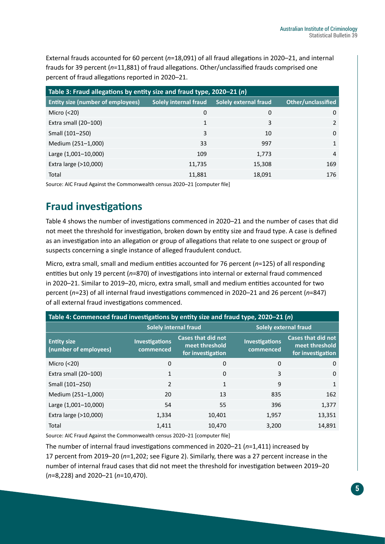External frauds accounted for 60 percent (*n*=18,091) of all fraud allegations in 2020–21, and internal frauds for 39 percent (*n*=11,881) of fraud allegations. Other/unclassified frauds comprised one percent of fraud allegations reported in 2020–21.

| Table 3: Fraud allegations by entity size and fraud type, 2020–21 (n) |                       |                              |                    |  |  |
|-----------------------------------------------------------------------|-----------------------|------------------------------|--------------------|--|--|
| <b>Entity size (number of employees)</b>                              | Solely internal fraud | <b>Solely external fraud</b> | Other/unclassified |  |  |
| Micro $(20)$                                                          | 0                     | 0                            | $\Omega$           |  |  |
| Extra small (20-100)                                                  | 1                     | 3                            | $\mathcal{P}$      |  |  |
| Small (101-250)                                                       | 3                     | 10                           | $\Omega$           |  |  |
| Medium (251-1,000)                                                    | 33                    | 997                          | $\mathbf{1}$       |  |  |
| Large (1,001-10,000)                                                  | 109                   | 1,773                        | 4                  |  |  |
| Extra large (>10,000)                                                 | 11,735                | 15,308                       | 169                |  |  |
| Total                                                                 | 11,881                | 18,091                       | 176                |  |  |

Source: AIC Fraud Against the Commonwealth census 2020–21 [computer file]

## **Fraud investigations**

Table 4 shows the number of investigations commenced in 2020–21 and the number of cases that did not meet the threshold for investigation, broken down by entity size and fraud type. A case is defined as an investigation into an allegation or group of allegations that relate to one suspect or group of suspects concerning a single instance of alleged fraudulent conduct.

Micro, extra small, small and medium entities accounted for 76 percent (*n*=125) of all responding entities but only 19 percent (*n*=870) of investigations into internal or external fraud commenced in 2020–21. Similar to 2019–20, micro, extra small, small and medium entities accounted for two percent (*n*=23) of all internal fraud investigations commenced in 2020–21 and 26 percent (*n*=847) of all external fraud investigations commenced.

| Table 4: Commenced fraud investigations by entity size and fraud type, 2020–21 (n) |                                    |                                                                  |                              |                                                                  |  |  |
|------------------------------------------------------------------------------------|------------------------------------|------------------------------------------------------------------|------------------------------|------------------------------------------------------------------|--|--|
|                                                                                    | <b>Solely internal fraud</b>       |                                                                  | <b>Solely external fraud</b> |                                                                  |  |  |
| <b>Entity size</b><br>(number of employees)                                        | <b>Investigations</b><br>commenced | <b>Cases that did not</b><br>meet threshold<br>for investigation | Investigations<br>commenced  | <b>Cases that did not</b><br>meet threshold<br>for investigation |  |  |
| Micro $(20)$                                                                       | $\Omega$                           | $\Omega$                                                         | 0                            | $\Omega$                                                         |  |  |
| Extra small (20-100)                                                               | $\mathbf{1}$                       | $\Omega$                                                         | 3                            | $\Omega$                                                         |  |  |
| Small (101-250)                                                                    | $\overline{2}$                     | $\mathbf{1}$                                                     | 9                            | 1                                                                |  |  |
| Medium (251-1,000)                                                                 | 20                                 | 13                                                               | 835                          | 162                                                              |  |  |
| Large (1,001-10,000)                                                               | 54                                 | 55                                                               | 396                          | 1,377                                                            |  |  |
| Extra large (>10,000)                                                              | 1,334                              | 10,401                                                           | 1,957                        | 13,351                                                           |  |  |
| Total                                                                              | 1.411                              | 10.470                                                           | 3.200                        | 14.891                                                           |  |  |

Source: AIC Fraud Against the Commonwealth census 2020–21 [computer file]

The number of internal fraud investigations commenced in 2020–21 (*n*=1,411) increased by 17 percent from 2019–20 (*n*=1,202; see Figure 2). Similarly, there was a 27 percent increase in the number of internal fraud cases that did not meet the threshold for investigation between 2019–20 (*n*=8,228) and 2020–21 (*n*=10,470).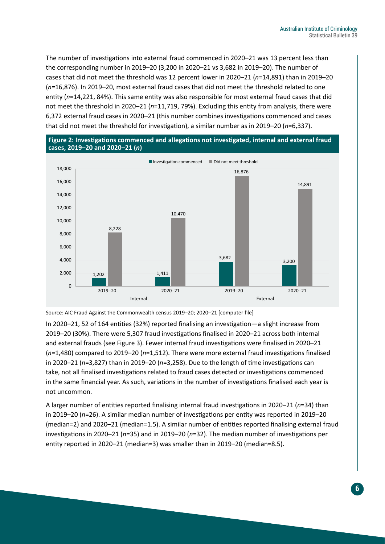The number of investigations into external fraud commenced in 2020–21 was 13 percent less than the corresponding number in 2019–20 (3,200 in 2020–21 vs 3,682 in 2019–20). The number of cases that did not meet the threshold was 12 percent lower in 2020–21 (*n*=14,891) than in 2019–20 (*n*=16,876). In 2019–20, most external fraud cases that did not meet the threshold related to one entity (*n*=14,221, 84%). This same entity was also responsible for most external fraud cases that did not meet the threshold in 2020–21 (*n*=11,719, 79%). Excluding this entity from analysis, there were 6,372 external fraud cases in 2020–21 (this number combines investigations commenced and cases that did not meet the threshold for investigation), a similar number as in 2019–20 (*n*=6,337).





Source: AIC Fraud Against the Commonwealth census 2019–20; 2020–21 [computer file]

In 2020–21, 52 of 164 entities (32%) reported finalising an investigation—a slight increase from 2019–20 (30%). There were 5,307 fraud investigations finalised in 2020–21 across both internal and external frauds (see Figure 3). Fewer internal fraud investigations were finalised in 2020–21 (*n*=1,480) compared to 2019–20 (*n*=1,512). There were more external fraud investigations finalised in 2020–21 (*n*=3,827) than in 2019–20 (*n*=3,258). Due to the length of time investigations can take, not all finalised investigations related to fraud cases detected or investigations commenced in the same financial year. As such, variations in the number of investigations finalised each year is not uncommon.

A larger number of entities reported finalising internal fraud investigations in 2020–21 (*n*=34) than in 2019–20 (*n*=26). A similar median number of investigations per entity was reported in 2019–20 (median=2) and 2020–21 (median=1.5). A similar number of entities reported finalising external fraud investigations in 2020–21 (*n*=35) and in 2019–20 (*n*=32). The median number of investigations per entity reported in 2020–21 (median=3) was smaller than in 2019–20 (median=8.5).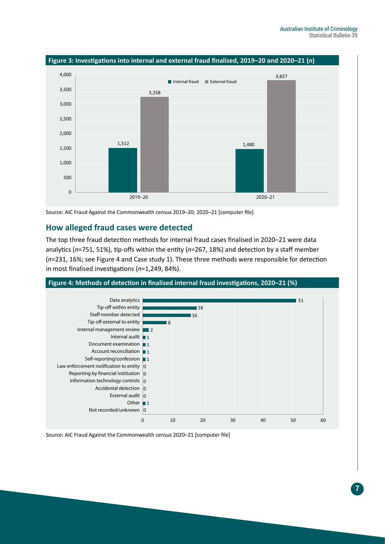

```
Source: AIC Fraud Against the Commonwealth census 2019–20; 2020–21 [computer file]
```
#### **How alleged fraud cases were detected**

The top three fraud detection methods for internal fraud cases finalised in 2020–21 were data analytics (*n*=751, 51%), tip-offs within the entity (*n*=267, 18%) and detection by a staff member (*n*=231, 16%; see Figure 4 and Case study 1). These three methods were responsible for detection in most finalised investigations (*n*=1,249, 84%).



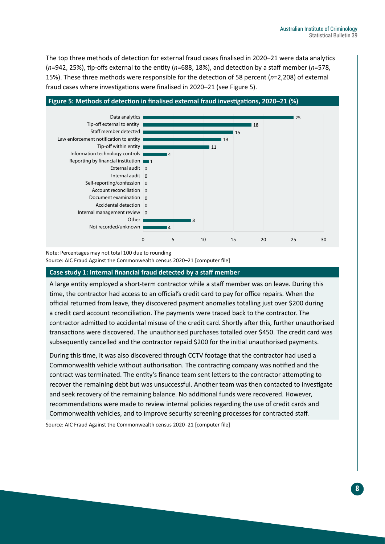The top three methods of detection for external fraud cases finalised in 2020–21 were data analytics (*n*=942, 25%), tip-offs external to the entity (*n*=688, 18%), and detection by a staff member (*n*=578, 15%). These three methods were responsible for the detection of 58 percent (*n*=2,208) of external fraud cases where investigations were finalised in 2020–21 (see Figure 5).



Note: Percentages may not total 100 due to rounding Source: AIC Fraud Against the Commonwealth census 2020–21 [computer file]

#### **Case study 1: Internal financial fraud detected by a staff member**

A large entity employed a short-term contractor while a staff member was on leave. During this time, the contractor had access to an official's credit card to pay for office repairs. When the official returned from leave, they discovered payment anomalies totalling just over \$200 during a credit card account reconciliation. The payments were traced back to the contractor. The contractor admitted to accidental misuse of the credit card. Shortly after this, further unauthorised transactions were discovered. The unauthorised purchases totalled over \$450. The credit card was subsequently cancelled and the contractor repaid \$200 for the initial unauthorised payments.

During this time, it was also discovered through CCTV footage that the contractor had used a Commonwealth vehicle without authorisation. The contracting company was notified and the contract was terminated. The entity's finance team sent letters to the contractor attempting to recover the remaining debt but was unsuccessful. Another team was then contacted to investigate and seek recovery of the remaining balance. No additional funds were recovered. However, recommendations were made to review internal policies regarding the use of credit cards and Commonwealth vehicles, and to improve security screening processes for contracted staff.

Source: AIC Fraud Against the Commonwealth census 2020–21 [computer file]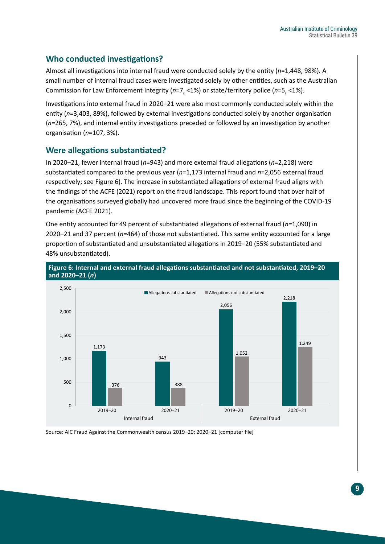#### **Who conducted investigations?**

Almost all investigations into internal fraud were conducted solely by the entity (*n*=1,448, 98%). A small number of internal fraud cases were investigated solely by other entities, such as the Australian Commission for Law Enforcement Integrity (*n*=7, <1%) or state/territory police (*n*=5, <1%).

Investigations into external fraud in 2020–21 were also most commonly conducted solely within the entity (*n*=3,403, 89%), followed by external investigations conducted solely by another organisation (*n*=265, 7%), and internal entity investigations preceded or followed by an investigation by another organisation (*n*=107, 3%).

#### **Were allegations substantiated?**

In 2020–21, fewer internal fraud (*n*=943) and more external fraud allegations (*n*=2,218) were substantiated compared to the previous year (*n*=1,173 internal fraud and *n*=2,056 external fraud respectively; see Figure 6). The increase in substantiated allegations of external fraud aligns with the findings of the ACFE (2021) report on the fraud landscape. This report found that over half of the organisations surveyed globally had uncovered more fraud since the beginning of the COVID-19 pandemic (ACFE 2021).

One entity accounted for 49 percent of substantiated allegations of external fraud (*n*=1,090) in 2020–21 and 37 percent (*n*=464) of those not substantiated. This same entity accounted for a large proportion of substantiated and unsubstantiated allegations in 2019–20 (55% substantiated and 48% unsubstantiated).



#### **Figure 6: Internal and external fraud allegations substantiated and not substantiated, 2019–20 and 2020–21 (***n***)**

Source: AIC Fraud Against the Commonwealth census 2019–20; 2020–21 [computer file]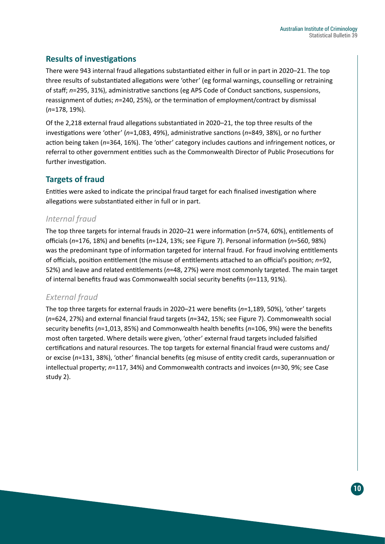#### **Results of investigations**

There were 943 internal fraud allegations substantiated either in full or in part in 2020–21. The top three results of substantiated allegations were 'other' (eg formal warnings, counselling or retraining of staff; *n*=295, 31%), administrative sanctions (eg APS Code of Conduct sanctions, suspensions, reassignment of duties; *n*=240, 25%), or the termination of employment/contract by dismissal (*n*=178, 19%).

Of the 2,218 external fraud allegations substantiated in 2020–21, the top three results of the investigations were 'other' (*n*=1,083, 49%), administrative sanctions (*n*=849, 38%), or no further action being taken (*n*=364, 16%). The 'other' category includes cautions and infringement notices, or referral to other government entities such as the Commonwealth Director of Public Prosecutions for further investigation.

#### **Targets of fraud**

Entities were asked to indicate the principal fraud target for each finalised investigation where allegations were substantiated either in full or in part.

#### *Internal fraud*

The top three targets for internal frauds in 2020–21 were information (*n*=574, 60%), entitlements of officials (*n*=176, 18%) and benefits (*n*=124, 13%; see Figure 7). Personal information (*n*=560, 98%) was the predominant type of information targeted for internal fraud. For fraud involving entitlements of officials, position entitlement (the misuse of entitlements attached to an official's position; *n*=92, 52%) and leave and related entitlements (*n*=48, 27%) were most commonly targeted. The main target of internal benefits fraud was Commonwealth social security benefits (*n*=113, 91%).

#### *External fraud*

The top three targets for external frauds in 2020–21 were benefits (*n*=1,189, 50%), 'other' targets (*n*=624, 27%) and external financial fraud targets (*n*=342, 15%; see Figure 7). Commonwealth social security benefits (*n*=1,013, 85%) and Commonwealth health benefits (*n*=106, 9%) were the benefits most often targeted. Where details were given, 'other' external fraud targets included falsified certifications and natural resources. The top targets for external financial fraud were customs and/ or excise (*n*=131, 38%), 'other' financial benefits (eg misuse of entity credit cards, superannuation or intellectual property; *n*=117, 34%) and Commonwealth contracts and invoices (*n*=30, 9%; see Case study 2).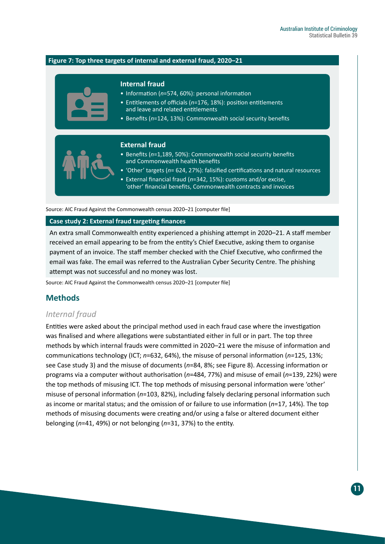#### **Figure 7: Top three targets of internal and external fraud, 2020–21**

| <b>Internal fraud</b><br>• Information (n=574, 60%): personal information<br>• Entitlements of officials (n=176, 18%): position entitlements<br>and leave and related entitlements<br>• Benefits (n=124, 13%): Commonwealth social security benefits                                                                                                           |
|----------------------------------------------------------------------------------------------------------------------------------------------------------------------------------------------------------------------------------------------------------------------------------------------------------------------------------------------------------------|
| <b>External fraud</b><br>• Benefits ( $n=1,189,50\%$ ): Commonwealth social security benefits<br>and Commonwealth health benefits<br>• 'Other' targets ( $n=624$ , 27%): falisified certifications and natural resources<br>• External financial fraud (n=342, 15%): customs and/or excise,<br>'other' financial benefits, Commonwealth contracts and invoices |

Source: AIC Fraud Against the Commonwealth census 2020–21 [computer file]

#### **Case study 2: External fraud targeting finances**

An extra small Commonwealth entity experienced a phishing attempt in 2020–21. A staff member received an email appearing to be from the entity's Chief Executive, asking them to organise payment of an invoice. The staff member checked with the Chief Executive, who confirmed the email was fake. The email was referred to the Australian Cyber Security Centre. The phishing attempt was not successful and no money was lost.

Source: AIC Fraud Against the Commonwealth census 2020–21 [computer file]

#### **Methods**

#### *Internal fraud*

Entities were asked about the principal method used in each fraud case where the investigation was finalised and where allegations were substantiated either in full or in part. The top three methods by which internal frauds were committed in 2020–21 were the misuse of information and communications technology (ICT; *n*=632, 64%), the misuse of personal information (*n=*125, 13%; see Case study 3) and the misuse of documents (*n*=84, 8%; see Figure 8). Accessing information or programs via a computer without authorisation (*n*=484, 77%) and misuse of email (*n*=139, 22%) were the top methods of misusing ICT. The top methods of misusing personal information were 'other' misuse of personal information (*n*=103, 82%), including falsely declaring personal information such as income or marital status; and the omission of or failure to use information (*n*=17, 14%). The top methods of misusing documents were creating and/or using a false or altered document either belonging (*n*=41, 49%) or not belonging (*n*=31, 37%) to the entity.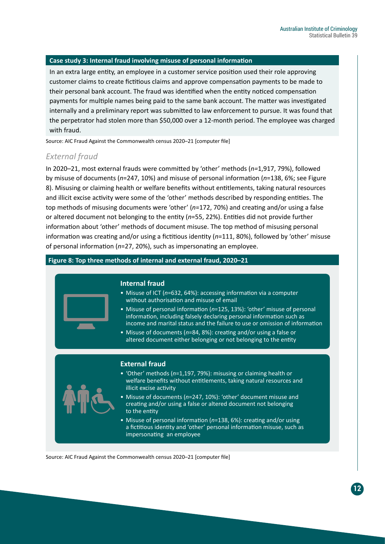#### **Case study 3: Internal fraud involving misuse of personal information**

In an extra large entity, an employee in a customer service position used their role approving customer claims to create fictitious claims and approve compensation payments to be made to their personal bank account. The fraud was identified when the entity noticed compensation payments for multiple names being paid to the same bank account. The matter was investigated internally and a preliminary report was submitted to law enforcement to pursue. It was found that the perpetrator had stolen more than \$50,000 over a 12-month period. The employee was charged with fraud.

Source: AIC Fraud Against the Commonwealth census 2020–21 [computer file]

#### *External fraud*

In 2020–21, most external frauds were committed by 'other' methods (*n=*1,917, 79%), followed by misuse of documents (*n*=247, 10%) and misuse of personal information (*n*=138, 6%; see Figure 8). Misusing or claiming health or welfare benefits without entitlements, taking natural resources and illicit excise activity were some of the 'other' methods described by responding entities. The top methods of misusing documents were 'other' (*n*=172, 70%) and creating and/or using a false or altered document not belonging to the entity (*n*=55, 22%). Entities did not provide further information about 'other' methods of document misuse. The top method of misusing personal information was creating and/or using a fictitious identity (*n*=111, 80%), followed by 'other' misuse of personal information (*n*=27, 20%), such as impersonating an employee.

#### **Figure 8: Top three methods of internal and external fraud, 2020–21**

#### **Internal fraud**

- Misuse of ICT (*n*=632, 64%): accessing information via a computer without authorisation and misuse of email
- Misuse of personal information (*n*=125, 13%): 'other' misuse of personal information, including falsely declaring personal information such as income and marital status and the failure to use or omission of information
- Misuse of documents (*n*=84, 8%): creating and/or using a false or altered document either belonging or not belonging to the entity

#### **External fraud**

- 'Other' methods (*n*=1,197, 79%): misusing or claiming health or welfare benefits without entitlements, taking natural resources and illicit excise activity
- Misuse of documents (*n*=247, 10%): 'other' document misuse and creating and/or using a false or altered document not belonging to the entity
- Misuse of personal information (*n*=138, 6%): creating and/or using a fictitious identity and 'other' personal information misuse, such as impersonating an employee

Source: AIC Fraud Against the Commonwealth census 2020–21 [computer file]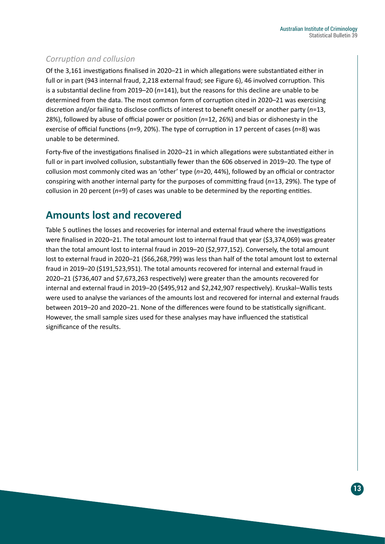#### *Corruption and collusion*

Of the 3,161 investigations finalised in 2020–21 in which allegations were substantiated either in full or in part (943 internal fraud, 2,218 external fraud; see Figure 6), 46 involved corruption. This is a substantial decline from 2019–20 (*n*=141), but the reasons for this decline are unable to be determined from the data. The most common form of corruption cited in 2020–21 was exercising discretion and/or failing to disclose conflicts of interest to benefit oneself or another party (*n*=13, 28%), followed by abuse of official power or position (*n*=12, 26%) and bias or dishonesty in the exercise of official functions (*n*=9, 20%). The type of corruption in 17 percent of cases (*n*=8) was unable to be determined.

Forty-five of the investigations finalised in 2020–21 in which allegations were substantiated either in full or in part involved collusion, substantially fewer than the 606 observed in 2019–20. The type of collusion most commonly cited was an 'other' type (*n*=20, 44%), followed by an official or contractor conspiring with another internal party for the purposes of committing fraud (*n*=13, 29%). The type of collusion in 20 percent (*n*=9) of cases was unable to be determined by the reporting entities.

## **Amounts lost and recovered**

Table 5 outlines the losses and recoveries for internal and external fraud where the investigations were finalised in 2020–21. The total amount lost to internal fraud that year (\$3,374,069) was greater than the total amount lost to internal fraud in 2019–20 (\$2,977,152). Conversely, the total amount lost to external fraud in 2020–21 (\$66,268,799) was less than half of the total amount lost to external fraud in 2019–20 (\$191,523,951). The total amounts recovered for internal and external fraud in 2020–21 (\$736,407 and \$7,673,263 respectively) were greater than the amounts recovered for internal and external fraud in 2019–20 (\$495,912 and \$2,242,907 respectively). Kruskal–Wallis tests were used to analyse the variances of the amounts lost and recovered for internal and external frauds between 2019–20 and 2020–21. None of the differences were found to be statistically significant. However, the small sample sizes used for these analyses may have influenced the statistical significance of the results.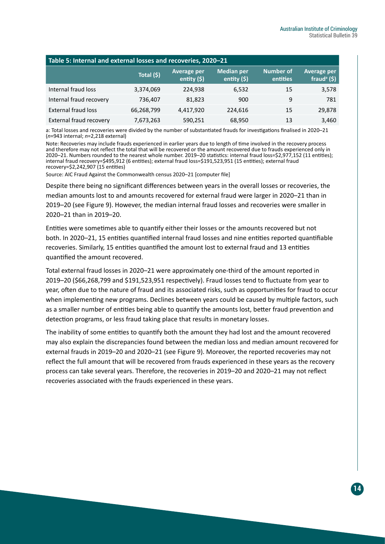| Table 5: Internal and external losses and recoveries, 2020-21 |            |                             |                            |                              |                                         |
|---------------------------------------------------------------|------------|-----------------------------|----------------------------|------------------------------|-----------------------------------------|
|                                                               | Total (\$) | Average per<br>entity $(5)$ | Median per<br>entity $(5)$ | <b>Number of</b><br>entities | Average per<br>fraud <sup>a</sup> $(5)$ |
| Internal fraud loss                                           | 3,374,069  | 224,938                     | 6,532                      | 15                           | 3,578                                   |
| Internal fraud recovery                                       | 736,407    | 81,823                      | 900                        | 9                            | 781                                     |
| <b>External fraud loss</b>                                    | 66,268,799 | 4,417,920                   | 224,616                    | 15                           | 29,878                                  |
| External fraud recovery                                       | 7,673,263  | 590,251                     | 68,950                     | 13                           | 3,460                                   |

a: Total losses and recoveries were divided by the number of substantiated frauds for investigations finalised in 2020–21 (*n*=943 internal; *n*=2,218 external)

Note: Recoveries may include frauds experienced in earlier years due to length of time involved in the recovery process and therefore may not reflect the total that will be recovered or the amount recovered due to frauds experienced only in 2020–21. Numbers rounded to the nearest whole number. 2019–20 statistics: internal fraud loss=\$2,977,152 (11 entities); internal fraud recovery=\$495,912 (6 entities); external fraud loss=\$191,523,951 (15 entities); external fraud recovery=\$2,242,907 (15 entities)

Source: AIC Fraud Against the Commonwealth census 2020–21 [computer file]

Despite there being no significant differences between years in the overall losses or recoveries, the median amounts lost to and amounts recovered for external fraud were larger in 2020–21 than in 2019–20 (see Figure 9). However, the median internal fraud losses and recoveries were smaller in 2020–21 than in 2019–20.

Entities were sometimes able to quantify either their losses or the amounts recovered but not both. In 2020–21, 15 entities quantified internal fraud losses and nine entities reported quantifiable recoveries. Similarly, 15 entities quantified the amount lost to external fraud and 13 entities quantified the amount recovered.

Total external fraud losses in 2020–21 were approximately one-third of the amount reported in 2019–20 (\$66,268,799 and \$191,523,951 respectively). Fraud losses tend to fluctuate from year to year, often due to the nature of fraud and its associated risks, such as opportunities for fraud to occur when implementing new programs. Declines between years could be caused by multiple factors, such as a smaller number of entities being able to quantify the amounts lost, better fraud prevention and detection programs, or less fraud taking place that results in monetary losses.

The inability of some entities to quantify both the amount they had lost and the amount recovered may also explain the discrepancies found between the median loss and median amount recovered for external frauds in 2019–20 and 2020–21 (see Figure 9). Moreover, the reported recoveries may not reflect the full amount that will be recovered from frauds experienced in these years as the recovery process can take several years. Therefore, the recoveries in 2019–20 and 2020–21 may not reflect recoveries associated with the frauds experienced in these years.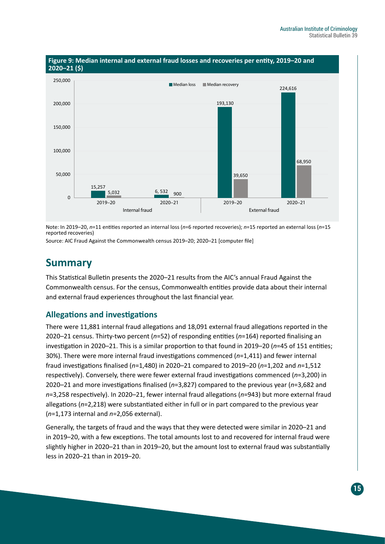

Note: In 2019–20, *n*=11 entities reported an internal loss (*n*=6 reported recoveries); *n*=15 reported an external loss (*n*=15 reported recoveries)

Source: AIC Fraud Against the Commonwealth census 2019–20; 2020–21 [computer file]

## **Summary**

This Statistical Bulletin presents the 2020–21 results from the AIC's annual Fraud Against the Commonwealth census. For the census, Commonwealth entities provide data about their internal and external fraud experiences throughout the last financial year.

#### **Allegations and investigations**

There were 11,881 internal fraud allegations and 18,091 external fraud allegations reported in the 2020–21 census. Thirty-two percent (*n*=52) of responding entities (*n*=164) reported finalising an investigation in 2020–21. This is a similar proportion to that found in 2019–20 (*n*=45 of 151 entities; 30%). There were more internal fraud investigations commenced (*n*=1,411) and fewer internal fraud investigations finalised (*n*=1,480) in 2020–21 compared to 2019–20 (*n*=1,202 and *n*=1,512 respectively). Conversely, there were fewer external fraud investigations commenced (*n*=3,200) in 2020–21 and more investigations finalised (*n*=3,827) compared to the previous year (*n*=3,682 and *n*=3,258 respectively). In 2020–21, fewer internal fraud allegations (*n*=943) but more external fraud allegations (*n*=2,218) were substantiated either in full or in part compared to the previous year (*n*=1,173 internal and *n*=2,056 external).

Generally, the targets of fraud and the ways that they were detected were similar in 2020–21 and in 2019–20, with a few exceptions. The total amounts lost to and recovered for internal fraud were slightly higher in 2020–21 than in 2019–20, but the amount lost to external fraud was substantially less in 2020–21 than in 2019–20.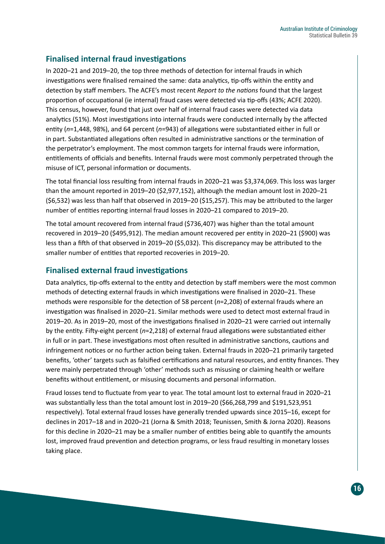#### **Finalised internal fraud investigations**

In 2020–21 and 2019–20, the top three methods of detection for internal frauds in which investigations were finalised remained the same: data analytics, tip-offs within the entity and detection by staff members. The ACFE's most recent *Report to the nations* found that the largest proportion of occupational (ie internal) fraud cases were detected via tip-offs (43%; ACFE 2020). This census, however, found that just over half of internal fraud cases were detected via data analytics (51%). Most investigations into internal frauds were conducted internally by the affected entity (*n*=1,448, 98%), and 64 percent (*n*=943) of allegations were substantiated either in full or in part. Substantiated allegations often resulted in administrative sanctions or the termination of the perpetrator's employment. The most common targets for internal frauds were information, entitlements of officials and benefits. Internal frauds were most commonly perpetrated through the misuse of ICT, personal information or documents.

The total financial loss resulting from internal frauds in 2020–21 was \$3,374,069. This loss was larger than the amount reported in 2019–20 (\$2,977,152), although the median amount lost in 2020–21 (\$6,532) was less than half that observed in 2019–20 (\$15,257). This may be attributed to the larger number of entities reporting internal fraud losses in 2020–21 compared to 2019–20.

The total amount recovered from internal fraud (\$736,407) was higher than the total amount recovered in 2019–20 (\$495,912). The median amount recovered per entity in 2020–21 (\$900) was less than a fifth of that observed in 2019–20 (\$5,032). This discrepancy may be attributed to the smaller number of entities that reported recoveries in 2019–20.

#### **Finalised external fraud investigations**

Data analytics, tip-offs external to the entity and detection by staff members were the most common methods of detecting external frauds in which investigations were finalised in 2020–21. These methods were responsible for the detection of 58 percent (*n*=2,208) of external frauds where an investigation was finalised in 2020–21. Similar methods were used to detect most external fraud in 2019–20. As in 2019–20, most of the investigations finalised in 2020–21 were carried out internally by the entity. Fifty-eight percent (*n*=2,218) of external fraud allegations were substantiated either in full or in part. These investigations most often resulted in administrative sanctions, cautions and infringement notices or no further action being taken. External frauds in 2020–21 primarily targeted benefits, 'other' targets such as falsified certifications and natural resources, and entity finances. They were mainly perpetrated through 'other' methods such as misusing or claiming health or welfare benefits without entitlement, or misusing documents and personal information.

Fraud losses tend to fluctuate from year to year. The total amount lost to external fraud in 2020–21 was substantially less than the total amount lost in 2019–20 (\$66,268,799 and \$191,523,951 respectively). Total external fraud losses have generally trended upwards since 2015–16, except for declines in 2017–18 and in 2020–21 (Jorna & Smith 2018; Teunissen, Smith & Jorna 2020). Reasons for this decline in 2020–21 may be a smaller number of entities being able to quantify the amounts lost, improved fraud prevention and detection programs, or less fraud resulting in monetary losses taking place.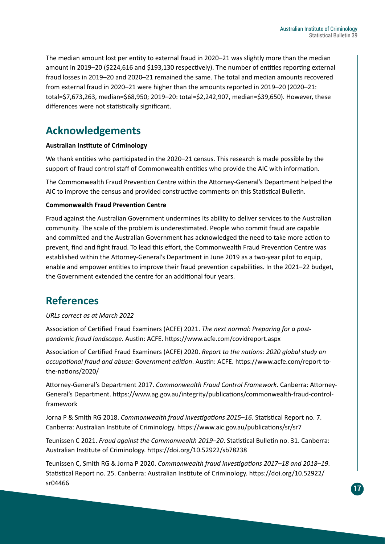The median amount lost per entity to external fraud in 2020–21 was slightly more than the median amount in 2019–20 (\$224,616 and \$193,130 respectively). The number of entities reporting external fraud losses in 2019–20 and 2020–21 remained the same. The total and median amounts recovered from external fraud in 2020–21 were higher than the amounts reported in 2019–20 (2020–21: total=\$7,673,263, median=\$68,950; 2019–20: total=\$2,242,907, median=\$39,650). However, these differences were not statistically significant.

## **Acknowledgements**

#### **Australian Institute of Criminology**

We thank entities who participated in the 2020–21 census. This research is made possible by the support of fraud control staff of Commonwealth entities who provide the AIC with information.

The Commonwealth Fraud Prevention Centre within the Attorney-General's Department helped the AIC to improve the census and provided constructive comments on this Statistical Bulletin.

#### **Commonwealth Fraud Prevention Centre**

Fraud against the Australian Government undermines its ability to deliver services to the Australian community. The scale of the problem is underestimated. People who commit fraud are capable and committed and the Australian Government has acknowledged the need to take more action to prevent, find and fight fraud. To lead this effort, the Commonwealth Fraud Prevention Centre was established within the Attorney-General's Department in June 2019 as a two-year pilot to equip, enable and empower entities to improve their fraud prevention capabilities. In the 2021–22 budget, the Government extended the centre for an additional four years.

### **References**

#### *URLs correct as at March 2022*

Association of Certified Fraud Examiners (ACFE) 2021. *The next normal: Preparing for a postpandemic fraud landscape.* Austin: ACFE.<https://www.acfe.com/covidreport.aspx>

Association of Certified Fraud Examiners (ACFE) 2020. *Report to the nations: 2020 global study on occupational fraud and abuse: Government edition*. Austin: ACFE. [https://www.acfe.com/report-to](https://www.acfe.com/report-to-the-nations/2020/)[the-nations/2020/](https://www.acfe.com/report-to-the-nations/2020/)

Attorney-General's Department 2017. *Commonwealth Fraud Control Framework*. Canberra: Attorney-General's Department. [https://www.ag.gov.au/integrity/publications/commonwealth-fraud-control](https://www.ag.gov.au/integrity/publications/commonwealth-fraud-control-framework)[framework](https://www.ag.gov.au/integrity/publications/commonwealth-fraud-control-framework)

Jorna P & Smith RG 2018. *Commonwealth fraud investigations 2015–16*. Statistical Report no. 7. Canberra: Australian Institute of Criminology.<https://www.aic.gov.au/publications/sr/sr7>

Teunissen C 2021. *Fraud against the Commonwealth 2019–20*. Statistical Bulletin no. 31. Canberra: Australian Institute of Criminology. <https://doi.org/10.52922/sb78238>

Teunissen C, Smith RG & Jorna P 2020. *Commonwealth fraud investigations 2017–18 and 2018–19*. Statistical Report no. 25. Canberra: Australian Institute of Criminology. [https://doi.org/10.52922/](https://doi.org/10.52922/sr04466) [sr04466](https://doi.org/10.52922/sr04466)